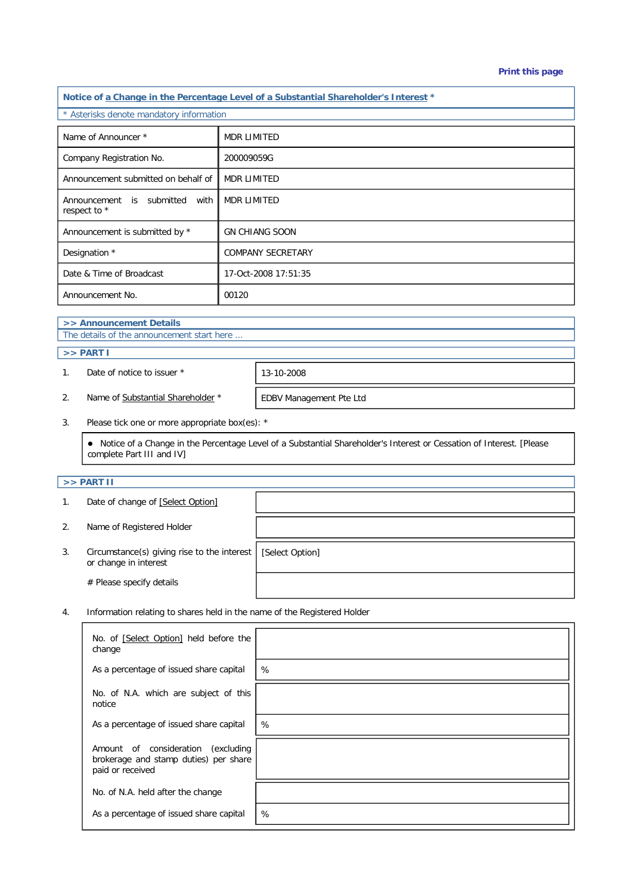#### **Print this page**

**Notice of a Change in the Percentage Level of a Substantial Shareholder's Interest \*** \* Asterisks denote mandatory information Name of Announcer \* MDR LIMITED Company Registration No. 200009059G Announcement submitted on behalf of MDR LIMITED Announcement is submitted with respect to \* MDR LIMITED Announcement is submitted by \* GN CHIANG SOON Designation \* COMPANY SECRETARY Date & Time of Broadcast 17-Oct-2008 17:51:35 Announcement No. 1999 100120

# **>> Announcement Details**

The details of the announcement start here ...

## **>> PART I**

1. Date of notice to issuer \* 13-10-2008

2. Name of Substantial Shareholder \* FDBV Management Pte Ltd

3. Please tick one or more appropriate box(es): \*

 Notice of a Change in the Percentage Level of a Substantial Shareholder's Interest or Cessation of Interest. [Please complete Part III and IV]

#### **>> PART II**

|    | Date of change of [Select Option]                                    |                 |
|----|----------------------------------------------------------------------|-----------------|
|    | Name of Registered Holder                                            |                 |
| 3. | Circumstance(s) giving rise to the interest<br>or change in interest | [Select Option] |
|    | # Please specify details                                             |                 |

4. Information relating to shares held in the name of the Registered Holder

| No. of [Select Option] held before the<br>change                                                   |   |
|----------------------------------------------------------------------------------------------------|---|
| As a percentage of issued share capital                                                            | % |
| No. of N.A. which are subject of this<br>notice                                                    |   |
| As a percentage of issued share capital                                                            | % |
| Amount of consideration<br>excluding)<br>brokerage and stamp duties) per share<br>paid or received |   |
| No. of N.A. held after the change                                                                  |   |
| As a percentage of issued share capital                                                            | % |